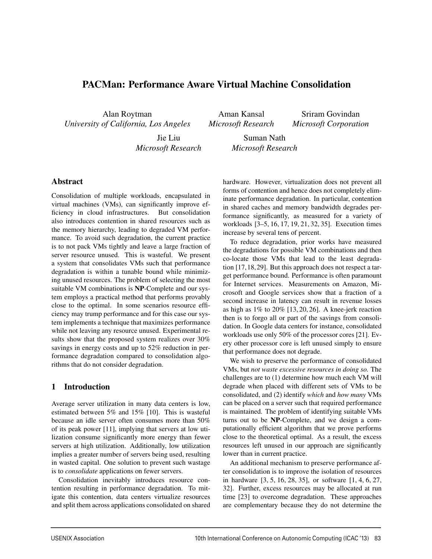# PACMan: Performance Aware Virtual Machine Consolidation

Alan Roytman *University of California, Los Angeles*

Aman Kansal *Microsoft Research*

Sriram Govindan *Microsoft Corporation*

Jie Liu *Microsoft Research*

Suman Nath *Microsoft Research*

# Abstract

Consolidation of multiple workloads, encapsulated in virtual machines (VMs), can significantly improve efficiency in cloud infrastructures. But consolidation also introduces contention in shared resources such as the memory hierarchy, leading to degraded VM performance. To avoid such degradation, the current practice is to not pack VMs tightly and leave a large fraction of server resource unused. This is wasteful. We present a system that consolidates VMs such that performance degradation is within a tunable bound while minimizing unused resources. The problem of selecting the most suitable VM combinations is NP-Complete and our system employs a practical method that performs provably close to the optimal. In some scenarios resource efficiency may trump performance and for this case our system implements a technique that maximizes performance while not leaving any resource unused. Experimental results show that the proposed system realizes over 30% savings in energy costs and up to 52% reduction in performance degradation compared to consolidation algorithms that do not consider degradation.

# 1 Introduction

Average server utilization in many data centers is low, estimated between 5% and 15% [10]. This is wasteful because an idle server often consumes more than 50% of its peak power [11], implying that servers at low utilization consume significantly more energy than fewer servers at high utilization. Additionally, low utilization implies a greater number of servers being used, resulting in wasted capital. One solution to prevent such wastage is to *consolidate* applications on fewer servers.

Consolidation inevitably introduces resource contention resulting in performance degradation. To mitigate this contention, data centers virtualize resources and split them across applications consolidated on shared hardware. However, virtualization does not prevent all forms of contention and hence does not completely eliminate performance degradation. In particular, contention in shared caches and memory bandwidth degrades performance significantly, as measured for a variety of workloads [3–5, 16, 17, 19, 21, 32, 35]. Execution times increase by several tens of percent.

To reduce degradation, prior works have measured the degradations for possible VM combinations and then co-locate those VMs that lead to the least degradation [17,18,29]. But this approach does not respect a target performance bound. Performance is often paramount for Internet services. Measurements on Amazon, Microsoft and Google services show that a fraction of a second increase in latency can result in revenue losses as high as 1% to 20% [13, 20, 26]. A knee-jerk reaction then is to forgo all or part of the savings from consolidation. In Google data centers for instance, consolidated workloads use only 50% of the processor cores [21]. Every other processor core is left unused simply to ensure that performance does not degrade.

We wish to preserve the performance of consolidated VMs, but *not waste excessive resources in doing so.* The challenges are to (1) determine how much each VM will degrade when placed with different sets of VMs to be consolidated, and (2) identify *which* and *how many* VMs can be placed on a server such that required performance is maintained. The problem of identifying suitable VMs turns out to be NP-Complete, and we design a computationally efficient algorithm that we prove performs close to the theoretical optimal. As a result, the excess resources left unused in our approach are significantly lower than in current practice.

An additional mechanism to preserve performance after consolidation is to improve the isolation of resources in hardware [3, 5, 16, 28, 35], or software [1, 4, 6, 27, 32]. Further, excess resources may be allocated at run time [23] to overcome degradation. These approaches are complementary because they do not determine the

<u>.</u>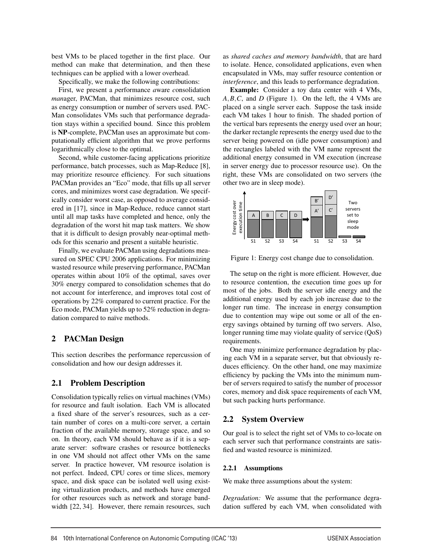best VMs to be placed together in the first place. Our method can make that determination, and then these techniques can be applied with a lower overhead.

Specifically, we make the following contributions:

First, we present a *p*erformance *a*ware *c*onsolidation *man*ager, PACMan, that minimizes resource cost, such as energy consumption or number of servers used. PAC-Man consolidates VMs such that performance degradation stays within a specified bound. Since this problem is NP-complete, PACMan uses an approximate but computationally efficient algorithm that we prove performs logarithmically close to the optimal.

Second, while customer-facing applications prioritize performance, batch processes, such as Map-Reduce [8], may prioritize resource efficiency. For such situations PACMan provides an "Eco" mode, that fills up all server cores, and minimizes worst case degradation. We specifically consider worst case, as opposed to average considered in [17], since in Map-Reduce, reduce cannot start until all map tasks have completed and hence, only the degradation of the worst hit map task matters. We show that it is difficult to design provably near-optimal methods for this scenario and present a suitable heuristic.

Finally, we evaluate PACMan using degradations measured on SPEC CPU 2006 applications. For minimizing wasted resource while preserving performance, PACMan operates within about 10% of the optimal, saves over 30% energy compared to consolidation schemes that do not account for interference, and improves total cost of operations by 22% compared to current practice. For the Eco mode, PACMan yields up to 52% reduction in degradation compared to naïve methods.

# 2 PACMan Design

This section describes the performance repercussion of consolidation and how our design addresses it.

### 2.1 Problem Description

Consolidation typically relies on virtual machines (VMs) for resource and fault isolation. Each VM is allocated a fixed share of the server's resources, such as a certain number of cores on a multi-core server, a certain fraction of the available memory, storage space, and so on. In theory, each VM should behave as if it is a separate server: software crashes or resource bottlenecks in one VM should not affect other VMs on the same server. In practice however, VM resource isolation is not perfect. Indeed, CPU cores or time slices, memory space, and disk space can be isolated well using existing virtualization products, and methods have emerged for other resources such as network and storage bandwidth [22, 34]. However, there remain resources, such as *shared caches and memory bandwidth*, that are hard to isolate. Hence, consolidated applications, even when encapsulated in VMs, may suffer resource contention or *interference*, and this leads to performance degradation.

Example: Consider a toy data center with 4 VMs, *A*,*B*,*C*, and *D* (Figure 1). On the left, the 4 VMs are placed on a single server each. Suppose the task inside each VM takes 1 hour to finish. The shaded portion of the vertical bars represents the energy used over an hour; the darker rectangle represents the energy used due to the server being powered on (idle power consumption) and the rectangles labeled with the VM name represent the additional energy consumed in VM execution (increase in server energy due to processor resource use). On the right, these VMs are consolidated on two servers (the other two are in sleep mode).



Figure 1: Energy cost change due to consolidation.

The setup on the right is more efficient. However, due to resource contention, the execution time goes up for most of the jobs. Both the server idle energy and the additional energy used by each job increase due to the longer run time. The increase in energy consumption due to contention may wipe out some or all of the energy savings obtained by turning off two servers. Also, longer running time may violate quality of service (QoS) requirements.

One may minimize performance degradation by placing each VM in a separate server, but that obviously reduces efficiency. On the other hand, one may maximize efficiency by packing the VMs into the minimum number of servers required to satisfy the number of processor cores, memory and disk space requirements of each VM, but such packing hurts performance.

# 2.2 System Overview

Our goal is to select the right set of VMs to co-locate on each server such that performance constraints are satisfied and wasted resource is minimized.

#### 2.2.1 Assumptions

2

We make three assumptions about the system:

*Degradation:* We assume that the performance degradation suffered by each VM, when consolidated with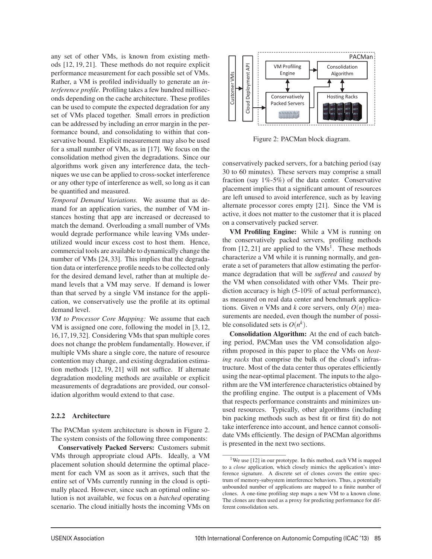any set of other VMs, is known from existing methods [12, 19, 21]. These methods do not require explicit performance measurement for each possible set of VMs. Rather, a VM is profiled individually to generate an *interference profile*. Profiling takes a few hundred milliseconds depending on the cache architecture. These profiles can be used to compute the expected degradation for any set of VMs placed together. Small errors in prediction can be addressed by including an error margin in the performance bound, and consolidating to within that conservative bound. Explicit measurement may also be used for a small number of VMs, as in [17]. We focus on the consolidation method given the degradations. Since our algorithms work given any interference data, the techniques we use can be applied to cross-socket interference or any other type of interference as well, so long as it can be quantified and measured.

*Temporal Demand Variations.* We assume that as demand for an application varies, the number of VM instances hosting that app are increased or decreased to match the demand. Overloading a small number of VMs would degrade performance while leaving VMs underutilized would incur excess cost to host them. Hence, commercial tools are available to dynamically change the number of VMs [24, 33]. This implies that the degradation data or interference profile needs to be collected only for the desired demand level, rather than at multiple demand levels that a VM may serve. If demand is lower than that served by a single VM instance for the application, we conservatively use the profile at its optimal demand level.

*VM to Processor Core Mapping:* We assume that each VM is assigned one core, following the model in [3, 12, 16,17,19,32]. Considering VMs that span multiple cores does not change the problem fundamentally. However, if multiple VMs share a single core, the nature of resource contention may change, and existing degradation estimation methods [12, 19, 21] will not suffice. If alternate degradation modeling methods are available or explicit measurements of degradations are provided, our consolidation algorithm would extend to that case.

#### 2.2.2 Architecture

The PACMan system architecture is shown in Figure 2. The system consists of the following three components:

Conservatively Packed Servers: Customers submit VMs through appropriate cloud APIs. Ideally, a VM placement solution should determine the optimal placement for each VM as soon as it arrives, such that the entire set of VMs currently running in the cloud is optimally placed. However, since such an optimal online solution is not available, we focus on a *batched* operating scenario. The cloud initially hosts the incoming VMs on



Figure 2: PACMan block diagram.

conservatively packed servers, for a batching period (say 30 to 60 minutes). These servers may comprise a small fraction (say 1%-5%) of the data center. Conservative placement implies that a significant amount of resources are left unused to avoid interference, such as by leaving alternate processor cores empty [21]. Since the VM is active, it does not matter to the customer that it is placed on a conservatively packed server.

VM Profiling Engine: While a VM is running on the conservatively packed servers, profiling methods from  $[12, 21]$  are applied to the VMs<sup>1</sup>. These methods characterize a VM while it is running normally, and generate a set of parameters that allow estimating the performance degradation that will be *suffered* and *caused* by the VM when consolidated with other VMs. Their prediction accuracy is high (5-10% of actual performance), as measured on real data center and benchmark applications. Given *n* VMs and *k* core servers, only  $O(n)$  measurements are needed, even though the number of possible consolidated sets is  $O(n^k)$ .

Consolidation Algorithm: At the end of each batching period, PACMan uses the VM consolidation algorithm proposed in this paper to place the VMs on *hosting racks* that comprise the bulk of the cloud's infrastructure. Most of the data center thus operates efficiently using the near-optimal placement. The inputs to the algorithm are the VM interference characteristics obtained by the profiling engine. The output is a placement of VMs that respects performance constraints and minimizes unused resources. Typically, other algorithms (including bin packing methods such as best fit or first fit) do not take interference into account, and hence cannot consolidate VMs efficiently. The design of PACMan algorithms is presented in the next two sections.

<sup>&</sup>lt;sup>1</sup>We use [12] in our prototype. In this method, each VM is mapped to a *clone* application, which closely mimics the application's interference signature. A discrete set of clones covers the entire spectrum of memory-subsystem interference behaviors. Thus, a potentially unbounded number of applications are mapped to a finite number of clones. A one-time profiling step maps a new VM to a known clone. The clones are then used as a proxy for predicting performance for different consolidation sets.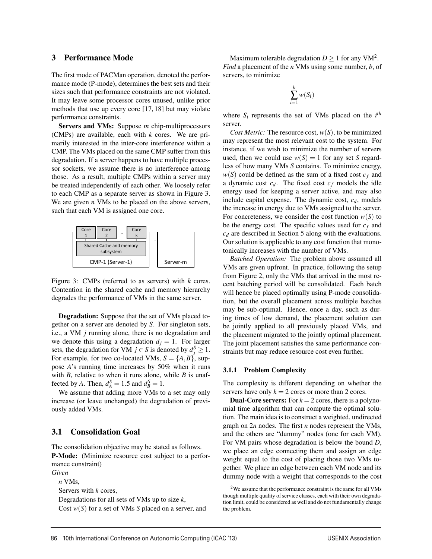#### 3 Performance Mode

The first mode of PACMan operation, denoted the performance mode (P-mode), determines the best sets and their sizes such that performance constraints are not violated. It may leave some processor cores unused, unlike prior methods that use up every core [17, 18] but may violate performance constraints.

Servers and VMs: Suppose *m* chip-multiprocessors (CMPs) are available, each with *k* cores. We are primarily interested in the inter-core interference within a CMP. The VMs placed on the same CMP suffer from this degradation. If a server happens to have multiple processor sockets, we assume there is no interference among those. As a result, multiple CMPs within a server may be treated independently of each other. We loosely refer to each CMP as a separate server as shown in Figure 3. We are given *n* VMs to be placed on the above servers, such that each VM is assigned one core.



Figure 3: CMPs (referred to as servers) with *k* cores. Contention in the shared cache and memory hierarchy degrades the performance of VMs in the same server.

Degradation: Suppose that the set of VMs placed together on a server are denoted by *S*. For singleton sets, i.e., a VM *j* running alone, there is no degradation and we denote this using a degradation  $d_j = 1$ . For larger sets, the degradation for VM  $j \in S$  is denoted by  $d_j^S \geq 1$ . For example, for two co-located VMs,  $S = \{A, B\}$ , suppose *A*'s running time increases by 50% when it runs with *B*, relative to when it runs alone, while *B* is unaffected by *A*. Then,  $d_A^S = 1.5$  and  $d_B^S = 1$ .

We assume that adding more VMs to a set may only increase (or leave unchanged) the degradation of previously added VMs.

#### 3.1 Consolidation Goal

The consolidation objective may be stated as follows. P-Mode: (Minimize resource cost subject to a performance constraint)

*Given*

*n* VMs,

Servers with *k* cores,

Degradations for all sets of VMs up to size *k*,

Cost *w*(*S*) for a set of VMs *S* placed on a server, and

Maximum tolerable degradation  $D \ge 1$  for any VM<sup>2</sup>. *Find* a placement of the *n* VMs using some number, *b*, of servers, to minimize

$$
\sum_{i=1}^b w(S_i)
$$

where  $S_i$  represents the set of VMs placed on the  $i^{th}$ server.

*Cost Metric:* The resource cost,  $w(S)$ , to be minimized may represent the most relevant cost to the system. For instance, if we wish to minimize the number of servers used, then we could use  $w(S) = 1$  for any set *S* regardless of how many VMs *S* contains. To minimize energy,  $w(S)$  could be defined as the sum of a fixed cost  $c_f$  and a dynamic cost  $c_d$ . The fixed cost  $c_f$  models the idle energy used for keeping a server active, and may also include capital expense. The dynamic cost,  $c_d$ , models the increase in energy due to VMs assigned to the server. For concreteness, we consider the cost function  $w(S)$  to be the energy cost. The specific values used for  $c_f$  and *cd* are described in Section 5 along with the evaluations. Our solution is applicable to any cost function that monotonically increases with the number of VMs.

*Batched Operation:* The problem above assumed all VMs are given upfront. In practice, following the setup from Figure 2, only the VMs that arrived in the most recent batching period will be consolidated. Each batch will hence be placed optimally using P-mode consolidation, but the overall placement across multiple batches may be sub-optimal. Hence, once a day, such as during times of low demand, the placement solution can be jointly applied to all previously placed VMs, and the placement migrated to the jointly optimal placement. The joint placement satisfies the same performance constraints but may reduce resource cost even further.

#### 3.1.1 Problem Complexity

The complexity is different depending on whether the servers have only  $k = 2$  cores or more than 2 cores.

**Dual-Core servers:** For  $k = 2$  cores, there is a polynomial time algorithm that can compute the optimal solution. The main idea is to construct a weighted, undirected graph on 2*n* nodes. The first *n* nodes represent the VMs, and the others are "dummy" nodes (one for each VM). For VM pairs whose degradation is below the bound *D*, we place an edge connecting them and assign an edge weight equal to the cost of placing those two VMs together. We place an edge between each VM node and its dummy node with a weight that corresponds to the cost

 $2$ We assume that the performance constraint is the same for all VMs though multiple quality of service classes, each with their own degradation limit, could be considered as well and do not fundamentally change the problem.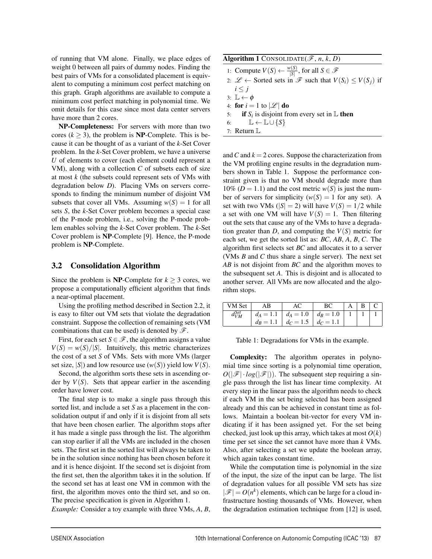of running that VM alone. Finally, we place edges of weight 0 between all pairs of dummy nodes. Finding the best pairs of VMs for a consolidated placement is equivalent to computing a minimum cost perfect matching on this graph. Graph algorithms are available to compute a minimum cost perfect matching in polynomial time. We omit details for this case since most data center servers have more than 2 cores.

NP-Completeness: For servers with more than two cores ( $k \ge 3$ ), the problem is **NP**-Complete. This is because it can be thought of as a variant of the *k*-Set Cover problem. In the *k*-Set Cover problem, we have a universe *U* of elements to cover (each element could represent a VM), along with a collection *C* of subsets each of size at most *k* (the subsets could represent sets of VMs with degradation below *D*). Placing VMs on servers corresponds to finding the minimum number of disjoint VM subsets that cover all VMs. Assuming  $w(S) = 1$  for all sets *S*, the *k*-Set Cover problem becomes a special case of the P-mode problem, i.e., solving the P-mode problem enables solving the *k*-Set Cover problem. The *k*-Set Cover problem is NP-Complete [9]. Hence, the P-mode problem is NP-Complete.

### 3.2 Consolidation Algorithm

Since the problem is **NP**-Complete for  $k \geq 3$  cores, we propose a computationally efficient algorithm that finds a near-optimal placement.

Using the profiling method described in Section 2.2, it is easy to filter out VM sets that violate the degradation constraint. Suppose the collection of remaining sets (VM combinations that can be used) is denoted by  $\mathscr{F}$ .

First, for each set  $S \in \mathcal{F}$ , the algorithm assigns a value  $V(S) = w(S)/|S|$ . Intuitively, this metric characterizes the cost of a set *S* of VMs. Sets with more VMs (larger set size,  $|S|$ ) and low resource use  $(w(S))$  yield low  $V(S)$ .

Second, the algorithm sorts these sets in ascending order by  $V(S)$ . Sets that appear earlier in the ascending order have lower cost.

The final step is to make a single pass through this sorted list, and include a set *S* as a placement in the consolidation output if and only if it is disjoint from all sets that have been chosen earlier. The algorithm stops after it has made a single pass through the list. The algorithm can stop earlier if all the VMs are included in the chosen sets. The first set in the sorted list will always be taken to be in the solution since nothing has been chosen before it and it is hence disjoint. If the second set is disjoint from the first set, then the algorithm takes it in the solution. If the second set has at least one VM in common with the first, the algorithm moves onto the third set, and so on. The precise specification is given in Algorithm 1.

*Example:* Consider a toy example with three VMs, *A*, *B*,

and *C* and  $k = 2$  cores. Suppose the characterization from the VM profiling engine results in the degradation numbers shown in Table 1. Suppose the performance constraint given is that no VM should degrade more than 10% ( $D = 1.1$ ) and the cost metric  $w(S)$  is just the number of servers for simplicity  $(w(S) = 1$  for any set). A set with two VMs ( $|S| = 2$ ) will have  $V(S) = 1/2$  while a set with one VM will have  $V(S) = 1$ . Then filtering out the sets that cause any of the VMs to have a degradation greater than *D*, and computing the  $V(S)$  metric for each set, we get the sorted list as: *BC*, *AB*, *A*, *B*, *C*. The algorithm first selects set *BC* and allocates it to a server (VMs *B* and *C* thus share a single server). The next set *AB* is not disjoint from *BC* and the algorithm moves to the subsequent set *A*. This is disjoint and is allocated to another server. All VMs are now allocated and the algorithm stops.

| VM Set            | AВ          |             |                   |  |  |
|-------------------|-------------|-------------|-------------------|--|--|
| .1Set<br>$a_{VM}$ | $d_A = 1.1$ | $d_A = 1.0$ | $d_{\rm B} = 1.0$ |  |  |
|                   | $d_R = 1.1$ | $d_C = 1.5$ | $d_C = 1.1$       |  |  |

Table 1: Degradations for VMs in the example.

Complexity: The algorithm operates in polynomial time since sorting is a polynomial time operation,  $O(|\mathscr{F}| \cdot log(|\mathscr{F}|))$ . The subsequent step requiring a single pass through the list has linear time complexity. At every step in the linear pass the algorithm needs to check if each VM in the set being selected has been assigned already and this can be achieved in constant time as follows. Maintain a boolean bit-vector for every VM indicating if it has been assigned yet. For the set being checked, just look up this array, which takes at most  $O(k)$ time per set since the set cannot have more than *k* VMs. Also, after selecting a set we update the boolean array, which again takes constant time.

While the computation time is polynomial in the size of the input, the size of the input can be large. The list of degradation values for all possible VM sets has size  $|\mathscr{F}| = O(n^k)$  elements, which can be large for a cloud infrastructure hosting thousands of VMs. However, when the degradation estimation technique from [12] is used,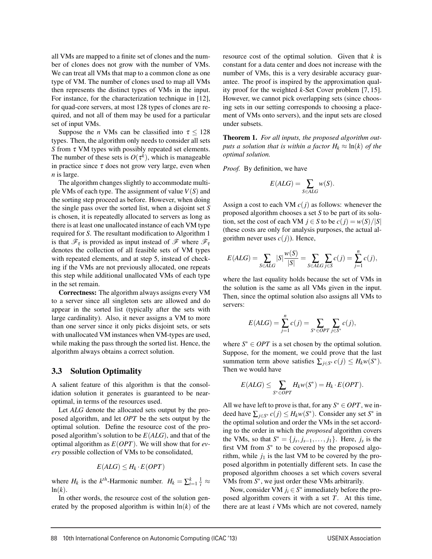all VMs are mapped to a finite set of clones and the number of clones does not grow with the number of VMs. We can treat all VMs that map to a common clone as one type of VM. The number of clones used to map all VMs then represents the distinct types of VMs in the input. For instance, for the characterization technique in [12], for quad-core servers, at most 128 types of clones are required, and not all of them may be used for a particular set of input VMs.

Suppose the *n* VMs can be classified into  $\tau \le 128$ types. Then, the algorithm only needs to consider all sets *S* from τ VM types with possibly repeated set elements. The number of these sets is  $O(\tau^k)$ , which is manageable in practice since  $\tau$  does not grow very large, even when *n* is large.

The algorithm changes slightly to accommodate multiple VMs of each type. The assignment of value *V*(*S*) and the sorting step proceed as before. However, when doing the single pass over the sorted list, when a disjoint set *S* is chosen, it is repeatedly allocated to servers as long as there is at least one unallocated instance of each VM type required for *S*. The resultant modification to Algorithm 1 is that  $\mathscr{F}_{\tau}$  is provided as input instead of  $\mathscr{F}$  where  $\mathscr{F}_{\tau}$ denotes the collection of all feasible sets of VM types with repeated elements, and at step 5, instead of checking if the VMs are not previously allocated, one repeats this step while additional unallocated VMs of each type in the set remain.

Correctness: The algorithm always assigns every VM to a server since all singleton sets are allowed and do appear in the sorted list (typically after the sets with large cardinality). Also, it never assigns a VM to more than one server since it only picks disjoint sets, or sets with unallocated VM instances when VM-types are used, while making the pass through the sorted list. Hence, the algorithm always obtains a correct solution.

### 3.3 Solution Optimality

A salient feature of this algorithm is that the consolidation solution it generates is guaranteed to be nearoptimal, in terms of the resources used.

Let *ALG* denote the allocated sets output by the proposed algorithm, and let *OPT* be the sets output by the optimal solution. Define the resource cost of the proposed algorithm's solution to be *E*(*ALG*), and that of the optimal algorithm as *E*(*OPT*). We will show that for *every* possible collection of VMs to be consolidated,

$$
E(ALG) \leq H_k \cdot E(OPT)
$$

where *H<sub>k</sub>* is the *k*<sup>th</sup>-Harmonic number.  $H_k = \sum_{i=1}^k \frac{1}{i} \approx$  $ln(k)$ .

In other words, the resource cost of the solution generated by the proposed algorithm is within  $ln(k)$  of the resource cost of the optimal solution. Given that *k* is constant for a data center and does not increase with the number of VMs, this is a very desirable accuracy guarantee. The proof is inspired by the approximation quality proof for the weighted *k*-Set Cover problem [7, 15]. However, we cannot pick overlapping sets (since choosing sets in our setting corresponds to choosing a placement of VMs onto servers), and the input sets are closed under subsets.

Theorem 1. *For all inputs, the proposed algorithm outputs a solution that is within a factor*  $H_k \approx \ln(k)$  *of the optimal solution.*

*Proof.* By definition, we have

$$
E(ALG) = \sum_{S \in ALG} w(S).
$$

Assign a cost to each VM  $c(j)$  as follows: whenever the proposed algorithm chooses a set *S* to be part of its solution, set the cost of each VM  $j \in S$  to be  $c(j) = w(S)/|S|$ (these costs are only for analysis purposes, the actual algorithm never uses  $c(j)$ ). Hence,

$$
E(ALG) = \sum_{S \in ALG} |S| \frac{w(S)}{|S|} = \sum_{S \in ALG} \sum_{j \in S} c(j) = \sum_{j=1}^{n} c(j),
$$

where the last equality holds because the set of VMs in the solution is the same as all VMs given in the input. Then, since the optimal solution also assigns all VMs to servers:

$$
E(ALG) = \sum_{j=1}^{n} c(j) = \sum_{S^* \in OPT} \sum_{j \in S^*} c(j),
$$

where  $S^* \in OPT$  is a set chosen by the optimal solution. Suppose, for the moment, we could prove that the last summation term above satisfies  $\sum_{i \in S^*} c(j) \leq H_k w(S^*)$ . Then we would have

$$
E(ALG) \leq \sum_{S^* \in OPT} H_k w(S^*) = H_k \cdot E(OPT).
$$

All we have left to prove is that, for any  $S^* \in OPT$ , we indeed have  $\sum_{i \in S^*} c(j) \leq H_k w(S^*)$ . Consider any set *S*<sup>∗</sup> in the optimal solution and order the VMs in the set according to the order in which the *proposed* algorithm covers the VMs, so that  $S^* = \{j_s, j_{s-1}, \ldots, j_1\}$ . Here,  $j_s$  is the first VM from  $S^*$  to be covered by the proposed algorithm, while  $j_1$  is the last VM to be covered by the proposed algorithm in potentially different sets. In case the proposed algorithm chooses a set which covers several VMs from *S*∗, we just order these VMs arbitrarily.

Now, consider VM  $j_i \in S^*$  immediately before the proposed algorithm covers it with a set *T*. At this time, there are at least *i* VMs which are not covered, namely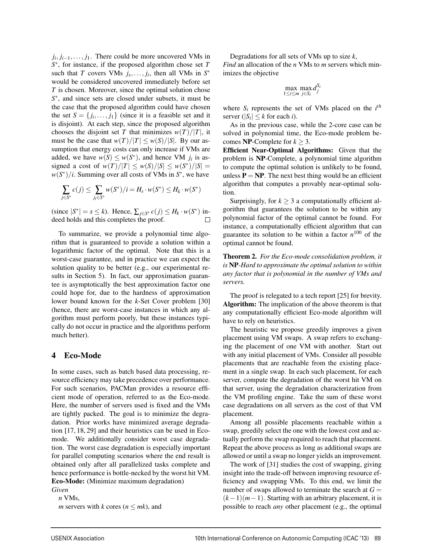*j<sub>i</sub>*, *j*<sub>*i*−1</sub>,..., *j*<sub>1</sub>. There could be more uncovered VMs in *S*∗, for instance, if the proposed algorithm chose set *T* such that *T* covers VMs  $j_s$ ,...,  $j_i$ , then all VMs in  $S^*$ would be considered uncovered immediately before set *T* is chosen. Moreover, since the optimal solution chose *S*<sup>∗</sup>, and since sets are closed under subsets, it must be the case that the proposed algorithm could have chosen the set  $S = \{j_1, \ldots, j_1\}$  (since it is a feasible set and it is disjoint). At each step, since the proposed algorithm chooses the disjoint set *T* that minimizes  $w(T)/|T|$ , it must be the case that  $w(T)/|T| \leq w(S)/|S|$ . By our assumption that energy costs can only increase if VMs are added, we have  $w(S) \leq w(S^*)$ , and hence VM  $j_i$  is assigned a cost of  $w(T)/|T| \leq w(S)/|S| \leq w(S^*)/|S|$ *w*(*S*∗)/*i*. Summing over all costs of VMs in *S*∗, we have

$$
\sum_{j\in S^*}c(j)\leq \sum_{j_i\in S^*}w(S^*)/i=H_s\cdot w(S^*)\leq H_k\cdot w(S^*)
$$

(since  $|S^*| = s \le k$ ). Hence,  $\sum_{j \in S^*} c(j) \le H_k \cdot w(S^*)$  indeed holds and this completes the proof deed holds and this completes the proof.

To summarize, we provide a polynomial time algorithm that is guaranteed to provide a solution within a logarithmic factor of the optimal. Note that this is a worst-case guarantee, and in practice we can expect the solution quality to be better (e.g., our experimental results in Section 5). In fact, our approximation guarantee is asymptotically the best approximation factor one could hope for, due to the hardness of approximation lower bound known for the *k*-Set Cover problem [30] (hence, there are worst-case instances in which any algorithm must perform poorly, but these instances typically do not occur in practice and the algorithms perform much better).

### 4 Eco-Mode

In some cases, such as batch based data processing, resource efficiency may take precedence over performance. For such scenarios, PACMan provides a resource efficient mode of operation, referred to as the Eco-mode. Here, the number of servers used is fixed and the VMs are tightly packed. The goal is to minimize the degradation. Prior works have minimized average degradation [17, 18, 29] and their heuristics can be used in Ecomode. We additionally consider worst case degradation. The worst case degradation is especially important for parallel computing scenarios where the end result is obtained only after all parallelized tasks complete and hence performance is bottle-necked by the worst hit VM. Eco-Mode: (Minimize maximum degradation)

*Given*

*n* VMs, *m* servers with *k* cores ( $n \leq mk$ ), and Degradations for all sets of VMs up to size *k*,

*Find* an allocation of the *n* VMs to *m* servers which minimizes the objective

$$
\max_{1 \leq i \leq m} \max_{j \in S_i} d_j^{S_i}
$$

where  $S_i$  represents the set of VMs placed on the  $i^{th}$ server ( $|S_i| \leq k$  for each *i*).

As in the previous case, while the 2-core case can be solved in polynomial time, the Eco-mode problem becomes **NP**-Complete for  $k > 3$ .

Efficient Near-Optimal Algorithms: Given that the problem is NP-Complete, a polynomial time algorithm to compute the optimal solution is unlikely to be found, unless  $P = NP$ . The next best thing would be an efficient algorithm that computes a provably near-optimal solution.

Surprisingly, for  $k \geq 3$  a computationally efficient algorithm that guarantees the solution to be within any polynomial factor of the optimal cannot be found. For instance, a computationally efficient algorithm that can guarantee its solution to be within a factor  $n^{100}$  of the optimal cannot be found.

Theorem 2. *For the Eco-mode consolidation problem, it is* NP*-Hard to approximate the optimal solution to within any factor that is polynomial in the number of VMs and servers.*

The proof is relegated to a tech report [25] for brevity. Algorithm: The implication of the above theorem is that any computationally efficient Eco-mode algorithm will have to rely on heuristics.

The heuristic we propose greedily improves a given placement using VM swaps. A swap refers to exchanging the placement of one VM with another. Start out with any initial placement of VMs. Consider all possible placements that are reachable from the existing placement in a single swap. In each such placement, for each server, compute the degradation of the worst hit VM on that server, using the degradation characterization from the VM profiling engine. Take the sum of these worst case degradations on all servers as the cost of that VM placement.

Among all possible placements reachable within a swap, greedily select the one with the lowest cost and actually perform the swap required to reach that placement. Repeat the above process as long as additional swaps are allowed or until a swap no longer yields an improvement.

The work of [31] studies the cost of swapping, giving insight into the trade-off between improving resource efficiency and swapping VMs. To this end, we limit the number of swaps allowed to terminate the search at  $G =$ (*k*−1)(*m*−1). Starting with an arbitrary placement, it is possible to reach *any* other placement (e.g., the optimal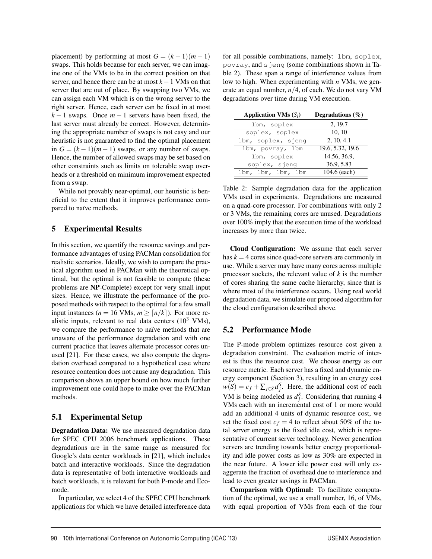placement) by performing at most  $G = (k-1)(m-1)$ swaps. This holds because for each server, we can imagine one of the VMs to be in the correct position on that server, and hence there can be at most *k*−1 VMs on that server that are out of place. By swapping two VMs, we can assign each VM which is on the wrong server to the right server. Hence, each server can be fixed in at most  $k-1$  swaps. Once  $m-1$  servers have been fixed, the last server must already be correct. However, determining the appropriate number of swaps is not easy and our heuristic is not guaranteed to find the optimal placement in  $G = (k-1)(m-1)$  swaps, or any number of swaps. Hence, the number of allowed swaps may be set based on other constraints such as limits on tolerable swap overheads or a threshold on minimum improvement expected from a swap.

While not provably near-optimal, our heuristic is beneficial to the extent that it improves performance compared to naïve methods.

# 5 Experimental Results

In this section, we quantify the resource savings and performance advantages of using PACMan consolidation for realistic scenarios. Ideally, we wish to compare the practical algorithm used in PACMan with the theoretical optimal, but the optimal is not feasible to compute (these problems are NP-Complete) except for very small input sizes. Hence, we illustrate the performance of the proposed methods with respect to the optimal for a few small input instances ( $n = 16$  VMs,  $m \geq \lceil n/k \rceil$ ). For more realistic inputs, relevant to real data centers  $(10^3 \text{ VMs})$ , we compare the performance to naïve methods that are unaware of the performance degradation and with one current practice that leaves alternate processor cores unused [21]. For these cases, we also compute the degradation overhead compared to a hypothetical case where resource contention does not cause any degradation. This comparison shows an upper bound on how much further improvement one could hope to make over the PACMan methods.

# 5.1 Experimental Setup

Degradation Data: We use measured degradation data for SPEC CPU 2006 benchmark applications. These degradations are in the same range as measured for Google's data center workloads in [21], which includes batch and interactive workloads. Since the degradation data is representative of both interactive workloads and batch workloads, it is relevant for both P-mode and Ecomode.

In particular, we select 4 of the SPEC CPU benchmark applications for which we have detailed interference data

for all possible combinations, namely: lbm, soplex, povray, and sjeng (some combinations shown in Table 2). These span a range of interference values from low to high. When experimenting with *n* VMs, we generate an equal number, *n*/4, of each. We do not vary VM degradations over time during VM execution.

| <b>Application VMs</b> $(S_i)$ | Degradations $(\% )$ |  |  |
|--------------------------------|----------------------|--|--|
| lbm, soplex                    | 2, 19.7              |  |  |
| soplex, soplex                 | 10, 10               |  |  |
| lbm, soplex, sjeng             | 2, 10, 4.1           |  |  |
| lbm, povray, lbm               | 19.6, 5.32, 19.6     |  |  |
| lbm, soplex                    | 14.56, 36.9.         |  |  |
| soplex, sjeng                  | 36.9, 5.83           |  |  |
| lbm, lbm, lbm, lbm             | 104.6 (each)         |  |  |

Table 2: Sample degradation data for the application VMs used in experiments. Degradations are measured on a quad-core processor. For combinations with only 2 or 3 VMs, the remaining cores are unused. Degradations over 100% imply that the execution time of the workload increases by more than twice.

Cloud Configuration: We assume that each server has  $k = 4$  cores since quad-core servers are commonly in use. While a server may have many cores across multiple processor sockets, the relevant value of *k* is the number of cores sharing the same cache hierarchy, since that is where most of the interference occurs. Using real world degradation data, we simulate our proposed algorithm for the cloud configuration described above.

# 5.2 Performance Mode

The P-mode problem optimizes resource cost given a degradation constraint. The evaluation metric of interest is thus the resource cost. We choose energy as our resource metric. Each server has a fixed and dynamic energy component (Section 3), resulting in an energy cost  $w(S) = c_f + \sum_{j \in S} d_j^S$ . Here, the additional cost of each VM is being modeled as  $d_j^S$ . Considering that running 4 VMs each with an incremental cost of 1 or more would add an additional 4 units of dynamic resource cost, we set the fixed cost  $c_f = 4$  to reflect about 50% of the total server energy as the fixed idle cost, which is representative of current server technology. Newer generation servers are trending towards better energy proportionality and idle power costs as low as 30% are expected in the near future. A lower idle power cost will only exaggerate the fraction of overhead due to interference and lead to even greater savings in PACMan.

Comparison with Optimal: To facilitate computation of the optimal, we use a small number, 16, of VMs, with equal proportion of VMs from each of the four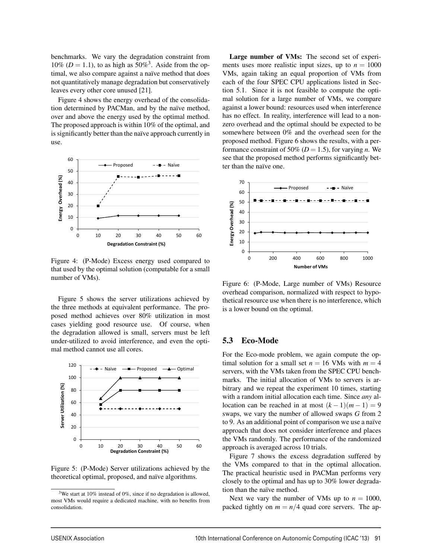benchmarks. We vary the degradation constraint from 10% ( $D = 1.1$ ), to as high as 50%<sup>3</sup>. Aside from the optimal, we also compare against a naïve method that does not quantitatively manage degradation but conservatively leaves every other core unused [21].

Figure 4 shows the energy overhead of the consolidation determined by PACMan, and by the naïve method, over and above the energy used by the optimal method. The proposed approach is within 10% of the optimal, and is significantly better than the naïve approach currently in use.



Figure 4: (P-Mode) Excess energy used compared to that used by the optimal solution (computable for a small number of VMs).

Figure 5 shows the server utilizations achieved by the three methods at equivalent performance. The proposed method achieves over 80% utilization in most cases yielding good resource use. Of course, when the degradation allowed is small, servers must be left under-utilized to avoid interference, and even the optimal method cannot use all cores.



Figure 5: (P-Mode) Server utilizations achieved by the theoretical optimal, proposed, and naïve algorithms.

Large number of VMs: The second set of experiments uses more realistic input sizes, up to  $n = 1000$ VMs, again taking an equal proportion of VMs from each of the four SPEC CPU applications listed in Section 5.1. Since it is not feasible to compute the optimal solution for a large number of VMs, we compare against a lower bound: resources used when interference has no effect. In reality, interference will lead to a nonzero overhead and the optimal should be expected to be somewhere between 0% and the overhead seen for the proposed method. Figure 6 shows the results, with a performance constraint of 50% ( $D = 1.5$ ), for varying *n*. We see that the proposed method performs significantly better than the naïve one.



Figure 6: (P-Mode, Large number of VMs) Resource overhead comparison, normalized with respect to hypothetical resource use when there is no interference, which is a lower bound on the optimal.

### 5.3 Eco-Mode

9

For the Eco-mode problem, we again compute the optimal solution for a small set  $n = 16$  VMs with  $m = 4$ servers, with the VMs taken from the SPEC CPU benchmarks. The initial allocation of VMs to servers is arbitrary and we repeat the experiment 10 times, starting with a random initial allocation each time. Since *any* allocation can be reached in at most  $(k-1)(m-1) = 9$ swaps, we vary the number of allowed swaps *G* from 2 to 9. As an additional point of comparison we use a naïve approach that does not consider interference and places the VMs randomly. The performance of the randomized approach is averaged across 10 trials.

Figure 7 shows the excess degradation suffered by the VMs compared to that in the optimal allocation. The practical heuristic used in PACMan performs very closely to the optimal and has up to 30% lower degradation than the naïve method.

Next we vary the number of VMs up to  $n = 1000$ , packed tightly on  $m = n/4$  quad core servers. The ap-

<sup>&</sup>lt;sup>3</sup>We start at 10% instead of 0%, since if no degradation is allowed, most VMs would require a dedicated machine, with no benefits from consolidation.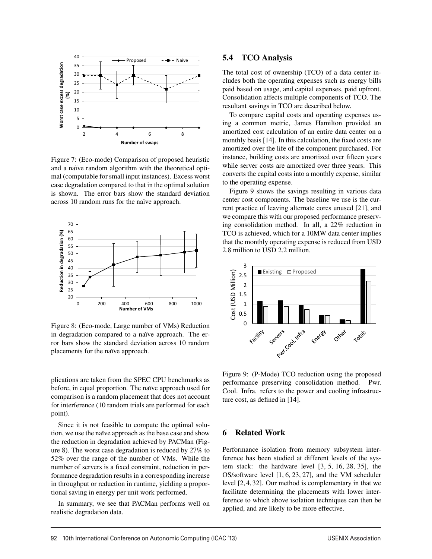

Figure 7: (Eco-mode) Comparison of proposed heuristic and a naïve random algorithm with the theoretical optimal (computable for small input instances). Excess worst case degradation compared to that in the optimal solution is shown. The error bars show the standard deviation across 10 random runs for the naïve approach.



Figure 8: (Eco-mode, Large number of VMs) Reduction in degradation compared to a naïve approach. The error bars show the standard deviation across 10 random placements for the naïve approach.

plications are taken from the SPEC CPU benchmarks as before, in equal proportion. The naïve approach used for comparison is a random placement that does not account for interference (10 random trials are performed for each point).

Since it is not feasible to compute the optimal solution, we use the naïve approach as the base case and show the reduction in degradation achieved by PACMan (Figure 8). The worst case degradation is reduced by 27% to 52% over the range of the number of VMs. While the number of servers is a fixed constraint, reduction in performance degradation results in a corresponding increase in throughput or reduction in runtime, yielding a proportional saving in energy per unit work performed.

In summary, we see that PACMan performs well on realistic degradation data.

### 5.4 TCO Analysis

The total cost of ownership (TCO) of a data center includes both the operating expenses such as energy bills paid based on usage, and capital expenses, paid upfront. Consolidation affects multiple components of TCO. The resultant savings in TCO are described below.

To compare capital costs and operating expenses using a common metric, James Hamilton provided an amortized cost calculation of an entire data center on a monthly basis [14]. In this calculation, the fixed costs are amortized over the life of the component purchased. For instance, building costs are amortized over fifteen years while server costs are amortized over three years. This converts the capital costs into a monthly expense, similar to the operating expense.

Figure 9 shows the savings resulting in various data center cost components. The baseline we use is the current practice of leaving alternate cores unused [21], and we compare this with our proposed performance preserving consolidation method. In all, a 22% reduction in TCO is achieved, which for a 10MW data center implies that the monthly operating expense is reduced from USD 2.8 million to USD 2.2 million.



Figure 9: (P-Mode) TCO reduction using the proposed performance preserving consolidation method. Pwr. Cool. Infra. refers to the power and cooling infrastructure cost, as defined in [14].

### 6 Related Work

10

Performance isolation from memory subsystem interference has been studied at different levels of the system stack: the hardware level [3, 5, 16, 28, 35], the OS/software level [1, 6, 23, 27], and the VM scheduler level [2, 4, 32]. Our method is complementary in that we facilitate determining the placements with lower interference to which above isolation techniques can then be applied, and are likely to be more effective.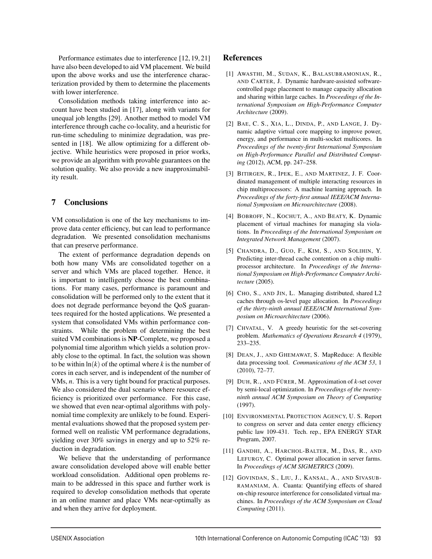Performance estimates due to interference [12, 19, 21] have also been developed to aid VM placement. We build upon the above works and use the interference characterization provided by them to determine the placements with lower interference.

Consolidation methods taking interference into account have been studied in [17], along with variants for unequal job lengths [29]. Another method to model VM interference through cache co-locality, and a heuristic for run-time scheduling to minimize degradation, was presented in [18]. We allow optimizing for a different objective. While heuristics were proposed in prior works, we provide an algorithm with provable guarantees on the solution quality. We also provide a new inapproximability result.

# 7 Conclusions

VM consolidation is one of the key mechanisms to improve data center efficiency, but can lead to performance degradation. We presented consolidation mechanisms that can preserve performance.

The extent of performance degradation depends on both how many VMs are consolidated together on a server and which VMs are placed together. Hence, it is important to intelligently choose the best combinations. For many cases, performance is paramount and consolidation will be performed only to the extent that it does not degrade performance beyond the QoS guarantees required for the hosted applications. We presented a system that consolidated VMs within performance constraints. While the problem of determining the best suited VM combinations is NP-Complete, we proposed a polynomial time algorithm which yields a solution provably close to the optimal. In fact, the solution was shown to be within  $ln(k)$  of the optimal where  $k$  is the number of cores in each server, and is independent of the number of VMs, *n*. This is a very tight bound for practical purposes. We also considered the dual scenario where resource efficiency is prioritized over performance. For this case, we showed that even near-optimal algorithms with polynomial time complexity are unlikely to be found. Experimental evaluations showed that the proposed system performed well on realistic VM performance degradations, yielding over 30% savings in energy and up to 52% reduction in degradation.

We believe that the understanding of performance aware consolidation developed above will enable better workload consolidation. Additional open problems remain to be addressed in this space and further work is required to develop consolidation methods that operate in an online manner and place VMs near-optimally as and when they arrive for deployment.

# **References**

- [1] AWASTHI, M., SUDAN, K., BALASUBRAMONIAN, R., AND CARTER, J. Dynamic hardware-assisted softwarecontrolled page placement to manage capacity allocation and sharing within large caches. In *Proceedings of the International Symposium on High-Performance Computer Architecture* (2009).
- [2] BAE, C. S., XIA, L., DINDA, P., AND LANGE, J. Dynamic adaptive virtual core mapping to improve power, energy, and performance in multi-socket multicores. In *Proceedings of the twenty-first International Symposium on High-Performance Parallel and Distributed Computing* (2012), ACM, pp. 247–258.
- [3] BITIRGEN, R., IPEK, E., AND MARTINEZ, J. F. Coordinated management of multiple interacting resources in chip multiprocessors: A machine learning approach. In *Proceedings of the forty-first annual IEEE/ACM International Symposium on Microarchitecture* (2008).
- [4] BOBROFF, N., KOCHUT, A., AND BEATY, K. Dynamic placement of virtual machines for managing sla violations. In *Proceedings of the International Symposium on Integrated Network Management* (2007).
- [5] CHANDRA, D., GUO, F., KIM, S., AND SOLIHIN, Y. Predicting inter-thread cache contention on a chip multiprocessor architecture. In *Proceedings of the International Symposium on High-Performance Computer Architecture* (2005).
- [6] CHO, S., AND JIN, L. Managing distributed, shared L2 caches through os-level page allocation. In *Proceedings of the thirty-ninth annual IEEE/ACM International Symposium on Microarchitecture* (2006).
- [7] CHVATAL, V. A greedy heuristic for the set-covering problem. *Mathematics of Operations Research 4* (1979), 233–235.
- [8] DEAN, J., AND GHEMAWAT, S. MapReduce: A flexible data processing tool. *Communications of the ACM 53*, 1 (2010), 72–77.
- [9] DUH, R., AND FÜRER, M. Approximation of  $k$ -set cover by semi-local optimization. In *Proceedings of the twentyninth annual ACM Symposium on Theory of Computing* (1997).
- [10] ENVIRONMENTAL PROTECTION AGENCY, U. S. Report to congress on server and data center energy efficiency public law 109-431. Tech. rep., EPA ENERGY STAR Program, 2007.
- [11] GANDHI, A., HARCHOL-BALTER, M., DAS, R., AND LEFURGY, C. Optimal power allocation in server farms. In *Proceedings of ACM SIGMETRICS* (2009).
- [12] GOVINDAN, S., LIU, J., KANSAL, A., AND SIVASUB-RAMANIAM, A. Cuanta: Quantifying effects of shared on-chip resource interference for consolidated virtual machines. In *Proceedings of the ACM Symposium on Cloud Computing* (2011).